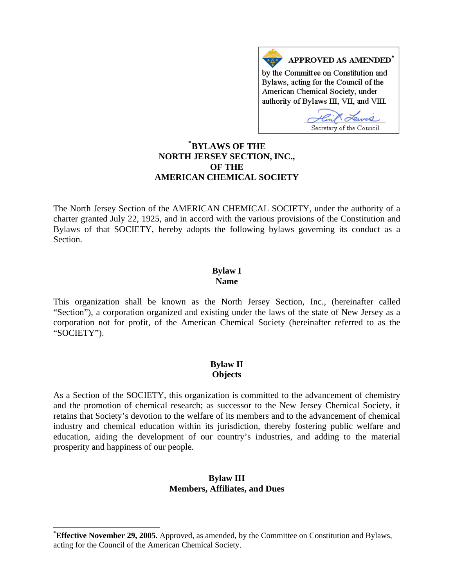

# **[\\*](#page-0-0) BYLAWS OF THE NORTH JERSEY SECTION, INC., OF THE AMERICAN CHEMICAL SOCIETY**

The North Jersey Section of the AMERICAN CHEMICAL SOCIETY, under the authority of a charter granted July 22, 1925, and in accord with the various provisions of the Constitution and Bylaws of that SOCIETY, hereby adopts the following bylaws governing its conduct as a Section.

#### **Bylaw I Name**

This organization shall be known as the North Jersey Section, Inc., (hereinafter called "Section"), a corporation organized and existing under the laws of the state of New Jersey as a corporation not for profit, of the American Chemical Society (hereinafter referred to as the "SOCIETY").

# **Bylaw II Objects**

As a Section of the SOCIETY, this organization is committed to the advancement of chemistry and the promotion of chemical research; as successor to the New Jersey Chemical Society, it retains that Society's devotion to the welfare of its members and to the advancement of chemical industry and chemical education within its jurisdiction, thereby fostering public welfare and education, aiding the development of our country's industries, and adding to the material prosperity and happiness of our people.

#### **Bylaw III Members, Affiliates, and Dues**

 $\overline{a}$ 

<span id="page-0-0"></span><sup>\*</sup> **Effective November 29, 2005.** Approved, as amended, by the Committee on Constitution and Bylaws, acting for the Council of the American Chemical Society.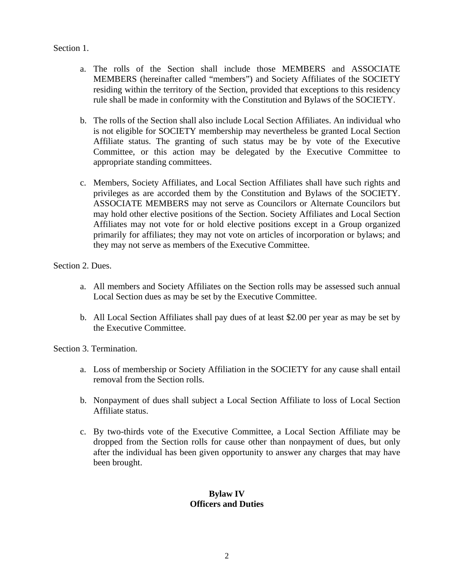### Section 1.

- a. The rolls of the Section shall include those MEMBERS and ASSOCIATE MEMBERS (hereinafter called "members") and Society Affiliates of the SOCIETY residing within the territory of the Section, provided that exceptions to this residency rule shall be made in conformity with the Constitution and Bylaws of the SOCIETY.
- b. The rolls of the Section shall also include Local Section Affiliates. An individual who is not eligible for SOCIETY membership may nevertheless be granted Local Section Affiliate status. The granting of such status may be by vote of the Executive Committee, or this action may be delegated by the Executive Committee to appropriate standing committees.
- c. Members, Society Affiliates, and Local Section Affiliates shall have such rights and privileges as are accorded them by the Constitution and Bylaws of the SOCIETY. ASSOCIATE MEMBERS may not serve as Councilors or Alternate Councilors but may hold other elective positions of the Section. Society Affiliates and Local Section Affiliates may not vote for or hold elective positions except in a Group organized primarily for affiliates; they may not vote on articles of incorporation or bylaws; and they may not serve as members of the Executive Committee.

Section 2. Dues.

- a. All members and Society Affiliates on the Section rolls may be assessed such annual Local Section dues as may be set by the Executive Committee.
- b. All Local Section Affiliates shall pay dues of at least \$2.00 per year as may be set by the Executive Committee.

Section 3. Termination.

- a. Loss of membership or Society Affiliation in the SOCIETY for any cause shall entail removal from the Section rolls.
- b. Nonpayment of dues shall subject a Local Section Affiliate to loss of Local Section Affiliate status.
- c. By two-thirds vote of the Executive Committee, a Local Section Affiliate may be dropped from the Section rolls for cause other than nonpayment of dues, but only after the individual has been given opportunity to answer any charges that may have been brought.

# **Bylaw IV Officers and Duties**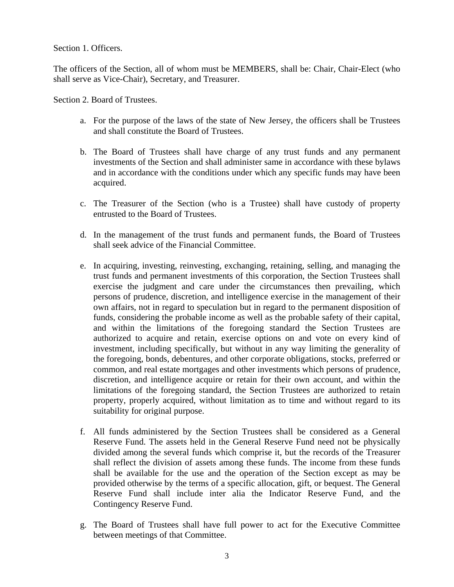Section 1. Officers.

The officers of the Section, all of whom must be MEMBERS, shall be: Chair, Chair-Elect (who shall serve as Vice-Chair), Secretary, and Treasurer.

Section 2. Board of Trustees.

- a. For the purpose of the laws of the state of New Jersey, the officers shall be Trustees and shall constitute the Board of Trustees.
- b. The Board of Trustees shall have charge of any trust funds and any permanent investments of the Section and shall administer same in accordance with these bylaws and in accordance with the conditions under which any specific funds may have been acquired.
- c. The Treasurer of the Section (who is a Trustee) shall have custody of property entrusted to the Board of Trustees.
- d. In the management of the trust funds and permanent funds, the Board of Trustees shall seek advice of the Financial Committee.
- e. In acquiring, investing, reinvesting, exchanging, retaining, selling, and managing the trust funds and permanent investments of this corporation, the Section Trustees shall exercise the judgment and care under the circumstances then prevailing, which persons of prudence, discretion, and intelligence exercise in the management of their own affairs, not in regard to speculation but in regard to the permanent disposition of funds, considering the probable income as well as the probable safety of their capital, and within the limitations of the foregoing standard the Section Trustees are authorized to acquire and retain, exercise options on and vote on every kind of investment, including specifically, but without in any way limiting the generality of the foregoing, bonds, debentures, and other corporate obligations, stocks, preferred or common, and real estate mortgages and other investments which persons of prudence, discretion, and intelligence acquire or retain for their own account, and within the limitations of the foregoing standard, the Section Trustees are authorized to retain property, properly acquired, without limitation as to time and without regard to its suitability for original purpose.
- f. All funds administered by the Section Trustees shall be considered as a General Reserve Fund. The assets held in the General Reserve Fund need not be physically divided among the several funds which comprise it, but the records of the Treasurer shall reflect the division of assets among these funds. The income from these funds shall be available for the use and the operation of the Section except as may be provided otherwise by the terms of a specific allocation, gift, or bequest. The General Reserve Fund shall include inter alia the Indicator Reserve Fund, and the Contingency Reserve Fund.
- g. The Board of Trustees shall have full power to act for the Executive Committee between meetings of that Committee.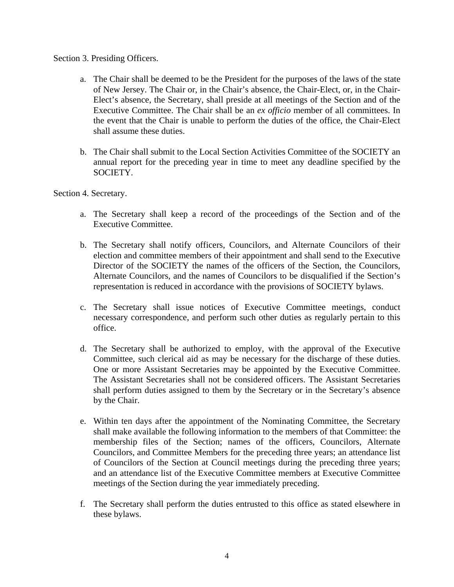#### Section 3. Presiding Officers.

- a. The Chair shall be deemed to be the President for the purposes of the laws of the state of New Jersey. The Chair or, in the Chair's absence, the Chair-Elect, or, in the Chair-Elect's absence, the Secretary, shall preside at all meetings of the Section and of the Executive Committee. The Chair shall be an *ex officio* member of all committees. In the event that the Chair is unable to perform the duties of the office, the Chair-Elect shall assume these duties.
- b. The Chair shall submit to the Local Section Activities Committee of the SOCIETY an annual report for the preceding year in time to meet any deadline specified by the SOCIETY.

Section 4. Secretary.

- a. The Secretary shall keep a record of the proceedings of the Section and of the Executive Committee.
- b. The Secretary shall notify officers, Councilors, and Alternate Councilors of their election and committee members of their appointment and shall send to the Executive Director of the SOCIETY the names of the officers of the Section, the Councilors, Alternate Councilors, and the names of Councilors to be disqualified if the Section's representation is reduced in accordance with the provisions of SOCIETY bylaws.
- c. The Secretary shall issue notices of Executive Committee meetings, conduct necessary correspondence, and perform such other duties as regularly pertain to this office.
- d. The Secretary shall be authorized to employ, with the approval of the Executive Committee, such clerical aid as may be necessary for the discharge of these duties. One or more Assistant Secretaries may be appointed by the Executive Committee. The Assistant Secretaries shall not be considered officers. The Assistant Secretaries shall perform duties assigned to them by the Secretary or in the Secretary's absence by the Chair.
- e. Within ten days after the appointment of the Nominating Committee, the Secretary shall make available the following information to the members of that Committee: the membership files of the Section; names of the officers, Councilors, Alternate Councilors, and Committee Members for the preceding three years; an attendance list of Councilors of the Section at Council meetings during the preceding three years; and an attendance list of the Executive Committee members at Executive Committee meetings of the Section during the year immediately preceding.
- f. The Secretary shall perform the duties entrusted to this office as stated elsewhere in these bylaws.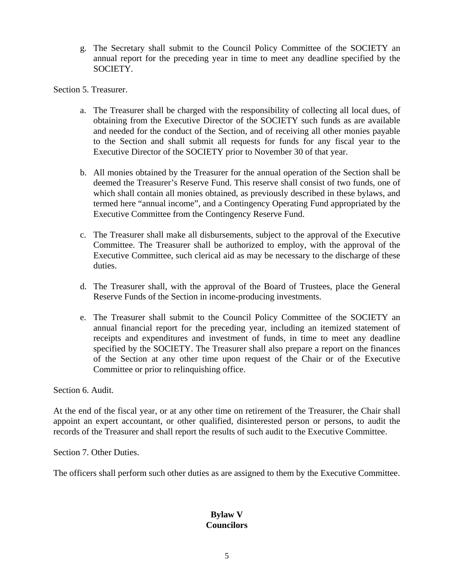g. The Secretary shall submit to the Council Policy Committee of the SOCIETY an annual report for the preceding year in time to meet any deadline specified by the SOCIETY.

Section 5. Treasurer.

- a. The Treasurer shall be charged with the responsibility of collecting all local dues, of obtaining from the Executive Director of the SOCIETY such funds as are available and needed for the conduct of the Section, and of receiving all other monies payable to the Section and shall submit all requests for funds for any fiscal year to the Executive Director of the SOCIETY prior to November 30 of that year.
- b. All monies obtained by the Treasurer for the annual operation of the Section shall be deemed the Treasurer's Reserve Fund. This reserve shall consist of two funds, one of which shall contain all monies obtained, as previously described in these bylaws, and termed here "annual income", and a Contingency Operating Fund appropriated by the Executive Committee from the Contingency Reserve Fund.
- c. The Treasurer shall make all disbursements, subject to the approval of the Executive Committee. The Treasurer shall be authorized to employ, with the approval of the Executive Committee, such clerical aid as may be necessary to the discharge of these duties.
- d. The Treasurer shall, with the approval of the Board of Trustees, place the General Reserve Funds of the Section in income-producing investments.
- e. The Treasurer shall submit to the Council Policy Committee of the SOCIETY an annual financial report for the preceding year, including an itemized statement of receipts and expenditures and investment of funds, in time to meet any deadline specified by the SOCIETY. The Treasurer shall also prepare a report on the finances of the Section at any other time upon request of the Chair or of the Executive Committee or prior to relinquishing office.

Section 6. Audit.

At the end of the fiscal year, or at any other time on retirement of the Treasurer, the Chair shall appoint an expert accountant, or other qualified, disinterested person or persons, to audit the records of the Treasurer and shall report the results of such audit to the Executive Committee.

Section 7. Other Duties.

The officers shall perform such other duties as are assigned to them by the Executive Committee.

# **Bylaw V Councilors**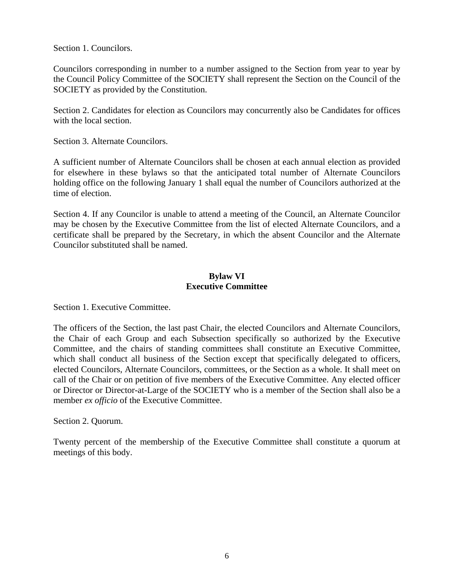Section 1. Councilors.

Councilors corresponding in number to a number assigned to the Section from year to year by the Council Policy Committee of the SOCIETY shall represent the Section on the Council of the SOCIETY as provided by the Constitution.

Section 2. Candidates for election as Councilors may concurrently also be Candidates for offices with the local section.

Section 3. Alternate Councilors.

A sufficient number of Alternate Councilors shall be chosen at each annual election as provided for elsewhere in these bylaws so that the anticipated total number of Alternate Councilors holding office on the following January 1 shall equal the number of Councilors authorized at the time of election.

Section 4. If any Councilor is unable to attend a meeting of the Council, an Alternate Councilor may be chosen by the Executive Committee from the list of elected Alternate Councilors, and a certificate shall be prepared by the Secretary, in which the absent Councilor and the Alternate Councilor substituted shall be named.

### **Bylaw VI Executive Committee**

Section 1. Executive Committee.

The officers of the Section, the last past Chair, the elected Councilors and Alternate Councilors, the Chair of each Group and each Subsection specifically so authorized by the Executive Committee, and the chairs of standing committees shall constitute an Executive Committee, which shall conduct all business of the Section except that specifically delegated to officers, elected Councilors, Alternate Councilors, committees, or the Section as a whole. It shall meet on call of the Chair or on petition of five members of the Executive Committee. Any elected officer or Director or Director-at-Large of the SOCIETY who is a member of the Section shall also be a member *ex officio* of the Executive Committee.

Section 2. Quorum.

Twenty percent of the membership of the Executive Committee shall constitute a quorum at meetings of this body.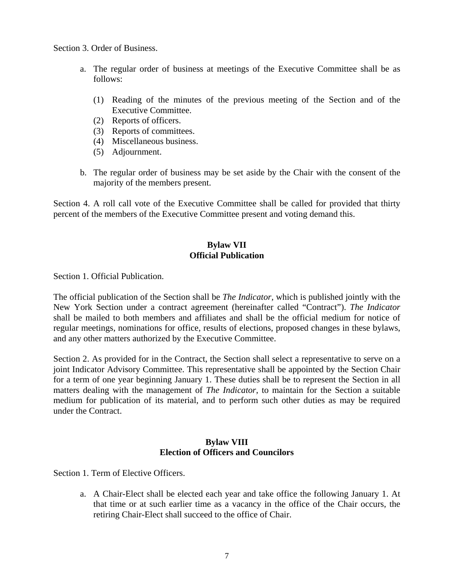Section 3. Order of Business.

- a. The regular order of business at meetings of the Executive Committee shall be as follows:
	- (1) Reading of the minutes of the previous meeting of the Section and of the Executive Committee.
	- (2) Reports of officers.
	- (3) Reports of committees.
	- (4) Miscellaneous business.
	- (5) Adjournment.
- b. The regular order of business may be set aside by the Chair with the consent of the majority of the members present.

Section 4. A roll call vote of the Executive Committee shall be called for provided that thirty percent of the members of the Executive Committee present and voting demand this.

# **Bylaw VII Official Publication**

Section 1. Official Publication.

The official publication of the Section shall be *The Indicator,* which is published jointly with the New York Section under a contract agreement (hereinafter called "Contract"). *The Indicator* shall be mailed to both members and affiliates and shall be the official medium for notice of regular meetings, nominations for office, results of elections, proposed changes in these bylaws, and any other matters authorized by the Executive Committee.

Section 2. As provided for in the Contract, the Section shall select a representative to serve on a joint Indicator Advisory Committee. This representative shall be appointed by the Section Chair for a term of one year beginning January 1. These duties shall be to represent the Section in all matters dealing with the management of *The Indicator*, to maintain for the Section a suitable medium for publication of its material, and to perform such other duties as may be required under the Contract.

### **Bylaw VIII Election of Officers and Councilors**

Section 1. Term of Elective Officers.

a. A Chair-Elect shall be elected each year and take office the following January 1. At that time or at such earlier time as a vacancy in the office of the Chair occurs, the retiring Chair-Elect shall succeed to the office of Chair.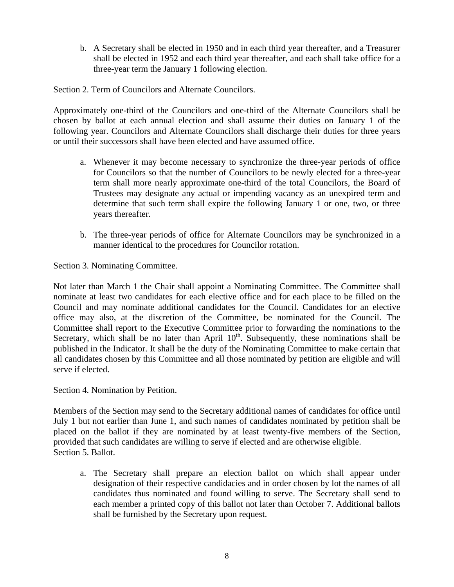b. A Secretary shall be elected in 1950 and in each third year thereafter, and a Treasurer shall be elected in 1952 and each third year thereafter, and each shall take office for a three-year term the January 1 following election.

Section 2. Term of Councilors and Alternate Councilors.

Approximately one-third of the Councilors and one-third of the Alternate Councilors shall be chosen by ballot at each annual election and shall assume their duties on January 1 of the following year. Councilors and Alternate Councilors shall discharge their duties for three years or until their successors shall have been elected and have assumed office.

- a. Whenever it may become necessary to synchronize the three-year periods of office for Councilors so that the number of Councilors to be newly elected for a three-year term shall more nearly approximate one-third of the total Councilors, the Board of Trustees may designate any actual or impending vacancy as an unexpired term and determine that such term shall expire the following January 1 or one, two, or three years thereafter.
- b. The three-year periods of office for Alternate Councilors may be synchronized in a manner identical to the procedures for Councilor rotation.

Section 3. Nominating Committee.

Not later than March 1 the Chair shall appoint a Nominating Committee. The Committee shall nominate at least two candidates for each elective office and for each place to be filled on the Council and may nominate additional candidates for the Council. Candidates for an elective office may also, at the discretion of the Committee, be nominated for the Council. The Committee shall report to the Executive Committee prior to forwarding the nominations to the Secretary, which shall be no later than April  $10<sup>th</sup>$ . Subsequently, these nominations shall be published in the Indicator. It shall be the duty of the Nominating Committee to make certain that all candidates chosen by this Committee and all those nominated by petition are eligible and will serve if elected.

Section 4. Nomination by Petition.

Members of the Section may send to the Secretary additional names of candidates for office until July 1 but not earlier than June 1, and such names of candidates nominated by petition shall be placed on the ballot if they are nominated by at least twenty-five members of the Section, provided that such candidates are willing to serve if elected and are otherwise eligible. Section 5. Ballot.

a. The Secretary shall prepare an election ballot on which shall appear under designation of their respective candidacies and in order chosen by lot the names of all candidates thus nominated and found willing to serve. The Secretary shall send to each member a printed copy of this ballot not later than October 7. Additional ballots shall be furnished by the Secretary upon request.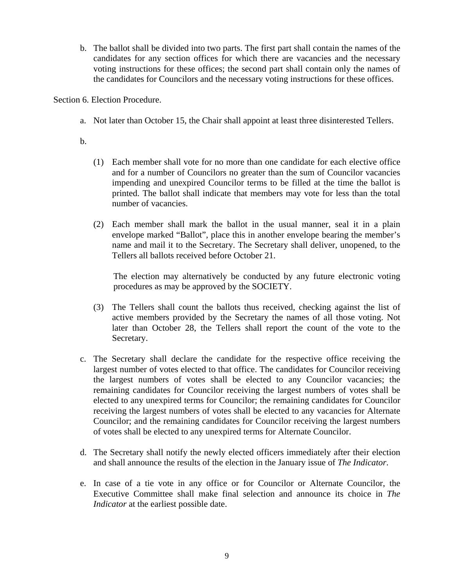b. The ballot shall be divided into two parts. The first part shall contain the names of the candidates for any section offices for which there are vacancies and the necessary voting instructions for these offices; the second part shall contain only the names of the candidates for Councilors and the necessary voting instructions for these offices.

Section 6. Election Procedure.

- a. Not later than October 15, the Chair shall appoint at least three disinterested Tellers.
- b.
- (1) Each member shall vote for no more than one candidate for each elective office and for a number of Councilors no greater than the sum of Councilor vacancies impending and unexpired Councilor terms to be filled at the time the ballot is printed. The ballot shall indicate that members may vote for less than the total number of vacancies.
- (2) Each member shall mark the ballot in the usual manner, seal it in a plain envelope marked "Ballot", place this in another envelope bearing the member's name and mail it to the Secretary. The Secretary shall deliver, unopened, to the Tellers all ballots received before October 21.

The election may alternatively be conducted by any future electronic voting procedures as may be approved by the SOCIETY.

- (3) The Tellers shall count the ballots thus received, checking against the list of active members provided by the Secretary the names of all those voting. Not later than October 28, the Tellers shall report the count of the vote to the Secretary.
- c. The Secretary shall declare the candidate for the respective office receiving the largest number of votes elected to that office. The candidates for Councilor receiving the largest numbers of votes shall be elected to any Councilor vacancies; the remaining candidates for Councilor receiving the largest numbers of votes shall be elected to any unexpired terms for Councilor; the remaining candidates for Councilor receiving the largest numbers of votes shall be elected to any vacancies for Alternate Councilor; and the remaining candidates for Councilor receiving the largest numbers of votes shall be elected to any unexpired terms for Alternate Councilor.
- d. The Secretary shall notify the newly elected officers immediately after their election and shall announce the results of the election in the January issue of *The Indicator*.
- e. In case of a tie vote in any office or for Councilor or Alternate Councilor, the Executive Committee shall make final selection and announce its choice in *The Indicator* at the earliest possible date.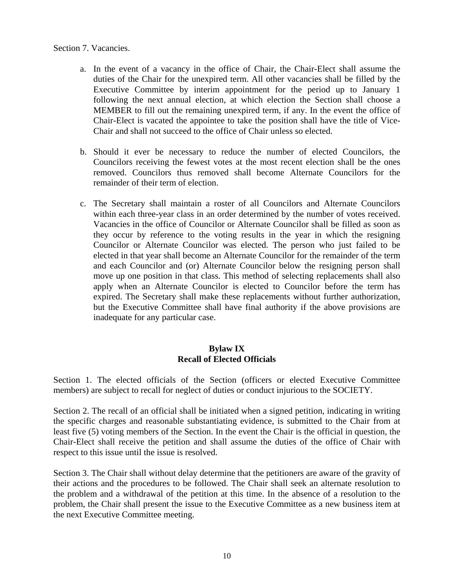#### Section 7. Vacancies.

- a. In the event of a vacancy in the office of Chair, the Chair-Elect shall assume the duties of the Chair for the unexpired term. All other vacancies shall be filled by the Executive Committee by interim appointment for the period up to January 1 following the next annual election, at which election the Section shall choose a MEMBER to fill out the remaining unexpired term, if any. In the event the office of Chair-Elect is vacated the appointee to take the position shall have the title of Vice-Chair and shall not succeed to the office of Chair unless so elected.
- b. Should it ever be necessary to reduce the number of elected Councilors, the Councilors receiving the fewest votes at the most recent election shall be the ones removed. Councilors thus removed shall become Alternate Councilors for the remainder of their term of election.
- c. The Secretary shall maintain a roster of all Councilors and Alternate Councilors within each three-year class in an order determined by the number of votes received. Vacancies in the office of Councilor or Alternate Councilor shall be filled as soon as they occur by reference to the voting results in the year in which the resigning Councilor or Alternate Councilor was elected. The person who just failed to be elected in that year shall become an Alternate Councilor for the remainder of the term and each Councilor and (or) Alternate Councilor below the resigning person shall move up one position in that class. This method of selecting replacements shall also apply when an Alternate Councilor is elected to Councilor before the term has expired. The Secretary shall make these replacements without further authorization, but the Executive Committee shall have final authority if the above provisions are inadequate for any particular case.

#### **Bylaw IX Recall of Elected Officials**

Section 1. The elected officials of the Section (officers or elected Executive Committee members) are subject to recall for neglect of duties or conduct injurious to the SOCIETY.

Section 2. The recall of an official shall be initiated when a signed petition, indicating in writing the specific charges and reasonable substantiating evidence, is submitted to the Chair from at least five (5) voting members of the Section. In the event the Chair is the official in question, the Chair-Elect shall receive the petition and shall assume the duties of the office of Chair with respect to this issue until the issue is resolved.

Section 3. The Chair shall without delay determine that the petitioners are aware of the gravity of their actions and the procedures to be followed. The Chair shall seek an alternate resolution to the problem and a withdrawal of the petition at this time. In the absence of a resolution to the problem, the Chair shall present the issue to the Executive Committee as a new business item at the next Executive Committee meeting.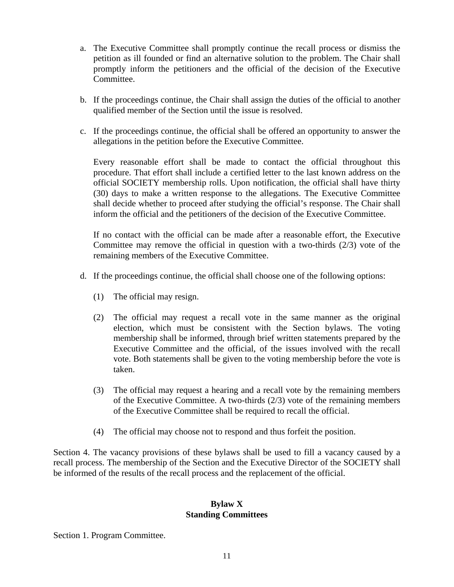- a. The Executive Committee shall promptly continue the recall process or dismiss the petition as ill founded or find an alternative solution to the problem. The Chair shall promptly inform the petitioners and the official of the decision of the Executive Committee.
- b. If the proceedings continue, the Chair shall assign the duties of the official to another qualified member of the Section until the issue is resolved.
- c. If the proceedings continue, the official shall be offered an opportunity to answer the allegations in the petition before the Executive Committee.

Every reasonable effort shall be made to contact the official throughout this procedure. That effort shall include a certified letter to the last known address on the official SOCIETY membership rolls. Upon notification, the official shall have thirty (30) days to make a written response to the allegations. The Executive Committee shall decide whether to proceed after studying the official's response. The Chair shall inform the official and the petitioners of the decision of the Executive Committee.

If no contact with the official can be made after a reasonable effort, the Executive Committee may remove the official in question with a two-thirds  $(2/3)$  vote of the remaining members of the Executive Committee.

- d. If the proceedings continue, the official shall choose one of the following options:
	- (1) The official may resign.
	- (2) The official may request a recall vote in the same manner as the original election, which must be consistent with the Section bylaws. The voting membership shall be informed, through brief written statements prepared by the Executive Committee and the official, of the issues involved with the recall vote. Both statements shall be given to the voting membership before the vote is taken.
	- (3) The official may request a hearing and a recall vote by the remaining members of the Executive Committee. A two-thirds (2/3) vote of the remaining members of the Executive Committee shall be required to recall the official.
	- (4) The official may choose not to respond and thus forfeit the position.

Section 4. The vacancy provisions of these bylaws shall be used to fill a vacancy caused by a recall process. The membership of the Section and the Executive Director of the SOCIETY shall be informed of the results of the recall process and the replacement of the official.

#### **Bylaw X Standing Committees**

Section 1. Program Committee.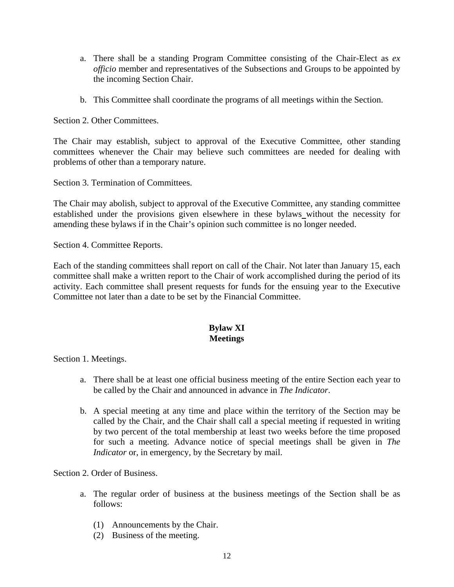- a. There shall be a standing Program Committee consisting of the Chair-Elect as *ex officio* member and representatives of the Subsections and Groups to be appointed by the incoming Section Chair.
- b. This Committee shall coordinate the programs of all meetings within the Section.

Section 2. Other Committees.

The Chair may establish, subject to approval of the Executive Committee, other standing committees whenever the Chair may believe such committees are needed for dealing with problems of other than a temporary nature.

Section 3. Termination of Committees.

The Chair may abolish, subject to approval of the Executive Committee, any standing committee established under the provisions given elsewhere in these bylaws without the necessity for amending these bylaws if in the Chair's opinion such committee is no longer needed.

Section 4. Committee Reports.

Each of the standing committees shall report on call of the Chair. Not later than January 15, each committee shall make a written report to the Chair of work accomplished during the period of its activity. Each committee shall present requests for funds for the ensuing year to the Executive Committee not later than a date to be set by the Financial Committee.

# **Bylaw XI Meetings**

Section 1. Meetings.

- a. There shall be at least one official business meeting of the entire Section each year to be called by the Chair and announced in advance in *The Indicator*.
- b. A special meeting at any time and place within the territory of the Section may be called by the Chair, and the Chair shall call a special meeting if requested in writing by two percent of the total membership at least two weeks before the time proposed for such a meeting. Advance notice of special meetings shall be given in *The Indicator* or, in emergency, by the Secretary by mail.

Section 2. Order of Business.

- a. The regular order of business at the business meetings of the Section shall be as follows:
	- (1) Announcements by the Chair.
	- (2) Business of the meeting.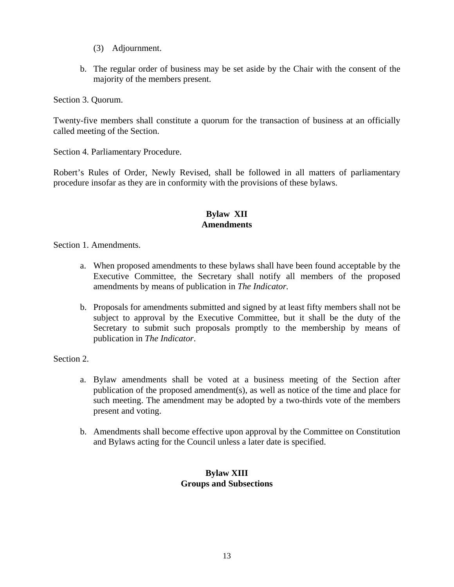- (3) Adjournment.
- b. The regular order of business may be set aside by the Chair with the consent of the majority of the members present.

Section 3. Quorum.

Twenty-five members shall constitute a quorum for the transaction of business at an officially called meeting of the Section.

Section 4. Parliamentary Procedure.

Robert's Rules of Order, Newly Revised, shall be followed in all matters of parliamentary procedure insofar as they are in conformity with the provisions of these bylaws.

## **Bylaw XII Amendments**

Section 1. Amendments.

- a. When proposed amendments to these bylaws shall have been found acceptable by the Executive Committee, the Secretary shall notify all members of the proposed amendments by means of publication in *The Indicator.*
- b. Proposals for amendments submitted and signed by at least fifty members shall not be subject to approval by the Executive Committee, but it shall be the duty of the Secretary to submit such proposals promptly to the membership by means of publication in *The Indicator*.

Section 2.

- a. Bylaw amendments shall be voted at a business meeting of the Section after publication of the proposed amendment(s), as well as notice of the time and place for such meeting. The amendment may be adopted by a two-thirds vote of the members present and voting.
- b. Amendments shall become effective upon approval by the Committee on Constitution and Bylaws acting for the Council unless a later date is specified.

# **Bylaw XIII Groups and Subsections**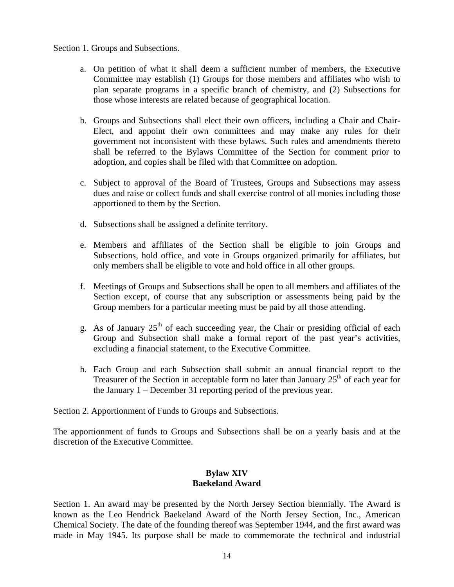#### Section 1. Groups and Subsections.

- a. On petition of what it shall deem a sufficient number of members, the Executive Committee may establish (1) Groups for those members and affiliates who wish to plan separate programs in a specific branch of chemistry, and (2) Subsections for those whose interests are related because of geographical location.
- b. Groups and Subsections shall elect their own officers, including a Chair and Chair-Elect, and appoint their own committees and may make any rules for their government not inconsistent with these bylaws. Such rules and amendments thereto shall be referred to the Bylaws Committee of the Section for comment prior to adoption, and copies shall be filed with that Committee on adoption.
- c. Subject to approval of the Board of Trustees, Groups and Subsections may assess dues and raise or collect funds and shall exercise control of all monies including those apportioned to them by the Section.
- d. Subsections shall be assigned a definite territory.
- e. Members and affiliates of the Section shall be eligible to join Groups and Subsections, hold office, and vote in Groups organized primarily for affiliates, but only members shall be eligible to vote and hold office in all other groups.
- f. Meetings of Groups and Subsections shall be open to all members and affiliates of the Section except, of course that any subscription or assessments being paid by the Group members for a particular meeting must be paid by all those attending.
- g. As of January  $25<sup>th</sup>$  of each succeeding year, the Chair or presiding official of each Group and Subsection shall make a formal report of the past year's activities, excluding a financial statement, to the Executive Committee.
- h. Each Group and each Subsection shall submit an annual financial report to the Treasurer of the Section in acceptable form no later than January  $25<sup>th</sup>$  of each year for the January 1 – December 31 reporting period of the previous year.

Section 2. Apportionment of Funds to Groups and Subsections.

The apportionment of funds to Groups and Subsections shall be on a yearly basis and at the discretion of the Executive Committee.

### **Bylaw XIV Baekeland Award**

Section 1. An award may be presented by the North Jersey Section biennially. The Award is known as the Leo Hendrick Baekeland Award of the North Jersey Section, Inc., American Chemical Society. The date of the founding thereof was September 1944, and the first award was made in May 1945. Its purpose shall be made to commemorate the technical and industrial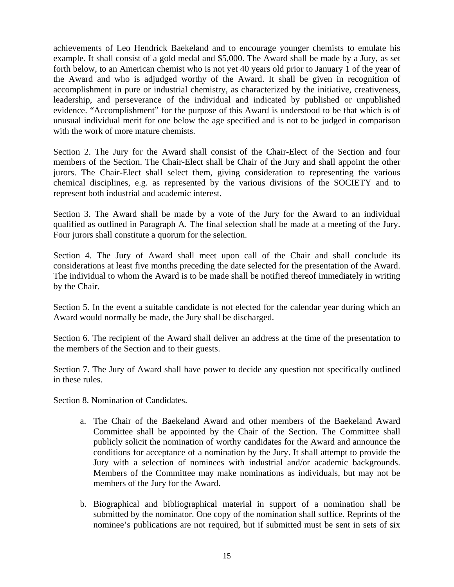achievements of Leo Hendrick Baekeland and to encourage younger chemists to emulate his example. It shall consist of a gold medal and \$5,000. The Award shall be made by a Jury, as set forth below, to an American chemist who is not yet 40 years old prior to January 1 of the year of the Award and who is adjudged worthy of the Award. It shall be given in recognition of accomplishment in pure or industrial chemistry, as characterized by the initiative, creativeness, leadership, and perseverance of the individual and indicated by published or unpublished evidence. "Accomplishment" for the purpose of this Award is understood to be that which is of unusual individual merit for one below the age specified and is not to be judged in comparison with the work of more mature chemists.

Section 2. The Jury for the Award shall consist of the Chair-Elect of the Section and four members of the Section. The Chair-Elect shall be Chair of the Jury and shall appoint the other jurors. The Chair-Elect shall select them, giving consideration to representing the various chemical disciplines, e.g. as represented by the various divisions of the SOCIETY and to represent both industrial and academic interest.

Section 3. The Award shall be made by a vote of the Jury for the Award to an individual qualified as outlined in Paragraph A. The final selection shall be made at a meeting of the Jury. Four jurors shall constitute a quorum for the selection.

Section 4. The Jury of Award shall meet upon call of the Chair and shall conclude its considerations at least five months preceding the date selected for the presentation of the Award. The individual to whom the Award is to be made shall be notified thereof immediately in writing by the Chair.

Section 5. In the event a suitable candidate is not elected for the calendar year during which an Award would normally be made, the Jury shall be discharged.

Section 6. The recipient of the Award shall deliver an address at the time of the presentation to the members of the Section and to their guests.

Section 7. The Jury of Award shall have power to decide any question not specifically outlined in these rules.

Section 8. Nomination of Candidates.

- a. The Chair of the Baekeland Award and other members of the Baekeland Award Committee shall be appointed by the Chair of the Section. The Committee shall publicly solicit the nomination of worthy candidates for the Award and announce the conditions for acceptance of a nomination by the Jury. It shall attempt to provide the Jury with a selection of nominees with industrial and/or academic backgrounds. Members of the Committee may make nominations as individuals, but may not be members of the Jury for the Award.
- b. Biographical and bibliographical material in support of a nomination shall be submitted by the nominator. One copy of the nomination shall suffice. Reprints of the nominee's publications are not required, but if submitted must be sent in sets of six